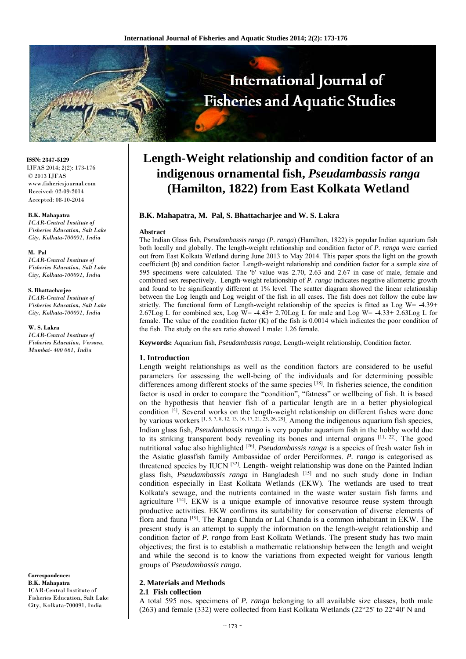

**ISSN: 2347-5129** IJFAS 2014; 2(2): 173-176 © 2013 IJFAS www.fisheriesjournal.com Received: 02-09-2014 Accepted: 08-10-2014

#### **B.K. Mahapatra**

*ICAR-Central Institute of Fisheries Education, Salt Lake City, Kolkata-700091, India* 

#### **M. Pal**

*ICAR-Central Institute of Fisheries Education, Salt Lake City, Kolkata-700091, India* 

#### **S. Bhattacharjee**

*ICAR-Central Institute of Fisheries Education, Salt Lake City, Kolkata-700091, India* 

**W. S. Lakra**  *ICAR-Central Institute of Fisheries Education, Versova, Mumbai- 400 061, India* 

**Correspondence: B.K. Mahapatra**  ICAR-Central Institute of Fisheries Education, Salt Lake City, Kolkata-700091, India

# **Length-Weight relationship and condition factor of an indigenous ornamental fish,** *Pseudambassis ranga* **(Hamilton, 1822) from East Kolkata Wetland**

### **B.K. Mahapatra, M. Pal, S. Bhattacharjee and W. S. Lakra**

#### **Abstract**

The Indian Glass fish, *Pseudambassis ranga* (*P. ranga*) (Hamilton, 1822) is popular Indian aquarium fish both locally and globally. The length-weight relationship and condition factor of *P. ranga* were carried out from East Kolkata Wetland during June 2013 to May 2014. This paper spots the light on the growth coefficient (b) and condition factor. Length-weight relationship and condition factor for a sample size of 595 specimens were calculated. The 'b' value was 2.70, 2.63 and 2.67 in case of male, female and combined sex respectively. Length-weight relationship of *P. ranga* indicates negative allometric growth and found to be significantly different at 1% level. The scatter diagram showed the linear relationship between the Log length and Log weight of the fish in all cases. The fish does not follow the cube law strictly. The functional form of Length-weight relationship of the species is fitted as Log W=  $-4.39+$ 2.67Log L for combined sex, Log W= -4.43+ 2.70Log L for male and Log W= -4.33+ 2.63Log L for female. The value of the condition factor (K) of the fish is 0.0014 which indicates the poor condition of the fish. The study on the sex ratio showed 1 male: 1.26 female.

**Keywords:** Aquarium fish, *Pseudambassis ranga*, Length-weight relationship, Condition factor.

### **1. Introduction**

Length weight relationships as well as the condition factors are considered to be useful parameters for assessing the well-being of the individuals and for determining possible differences among different stocks of the same species [18]. In fisheries science, the condition factor is used in order to compare the "condition", "fatness" or wellbeing of fish. It is based on the hypothesis that heavier fish of a particular length are in a better physiological condition [4]. Several works on the length-weight relationship on different fishes were done by various workers [1, 5, 7, 8, 12, 13, 16, 17, 21, 25, 26, 29]. Among the indigenous aquarium fish species, Indian glass fish, *Pseudambassis ranga* is very popular aquarium fish in the hobby world due to its striking transparent body revealing its bones and internal organs [11, 22]. The good nutritional value also highlighted [26]. *Pseudambassis ranga* is a species of fresh water fish in the Asiatic glassfish family Ambassidae of order Perciformes. *P. ranga* is categorised as threatened species by IUCN  $[32]$ . Length- weight relationship was done on the Painted Indian glass fish, *Pseudambassis ranga* in Bangladesh [15] and no such study done in Indian condition especially in East Kolkata Wetlands (EKW). The wetlands are used to treat Kolkata's sewage, and the nutrients contained in the waste water sustain fish farms and agriculture  $[14]$ . EKW is a unique example of innovative resource reuse system through productive activities. EKW confirms its suitability for conservation of diverse elements of flora and fauna [19]. The Ranga Chanda or Lal Chanda is a common inhabitant in EKW. The present study is an attempt to supply the information on the length-weight relationship and condition factor of *P. ranga* from East Kolkata Wetlands. The present study has two main objectives; the first is to establish a mathematic relationship between the length and weight and while the second is to know the variations from expected weight for various length groups of *Pseudambassis ranga.* 

# **2. Materials and Methods**

**2.1 Fish collection** 

A total 595 nos. specimens of *P. ranga* belonging to all available size classes, both male (263) and female (332) were collected from East Kolkata Wetlands (22°25' to 22°40' N and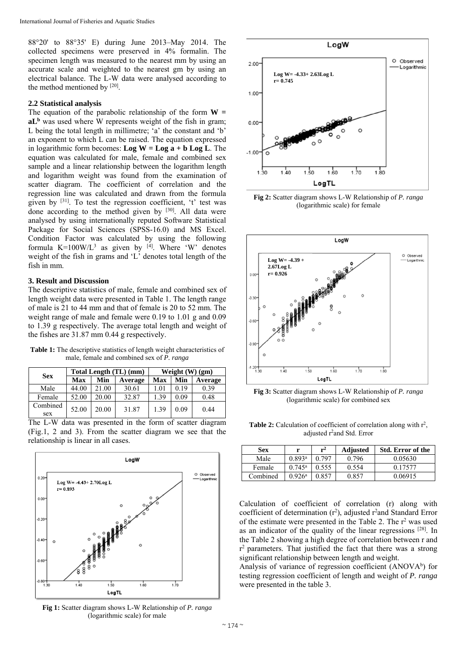88°20' to 88°35' E) during June 2013–May 2014. The collected specimens were preserved in 4% formalin. The specimen length was measured to the nearest mm by using an accurate scale and weighted to the nearest gm by using an electrical balance. The L-W data were analysed according to the method mentioned by [20].

#### **2.2 Statistical analysis**

The equation of the parabolic relationship of the form  $W =$ aL<sup>b</sup> was used where W represents weight of the fish in gram; L being the total length in millimetre; 'a' the constant and 'b' an exponent to which L can be raised. The equation expressed in logarithmic form becomes: **Log W = Log a + b Log L**. The equation was calculated for male, female and combined sex sample and a linear relationship between the logarithm length and logarithm weight was found from the examination of scatter diagram. The coefficient of correlation and the regression line was calculated and drawn from the formula given by [31]. To test the regression coefficient, 't' test was done according to the method given by  $[30]$ . All data were analysed by using internationally reputed Software Statistical Package for Social Sciences (SPSS-16.0) and MS Excel. Condition Factor was calculated by using the following formula K=100W/L<sup>3</sup> as given by  $[4]$ . Where 'W' denotes weight of the fish in grams and 'L' denotes total length of the fish in mm.

#### **3. Result and Discussion**

The descriptive statistics of male, female and combined sex of length weight data were presented in Table 1. The length range of male is 21 to 44 mm and that of female is 20 to 52 mm. The weight range of male and female were 0.19 to 1.01 g and 0.09 to 1.39 g respectively. The average total length and weight of the fishes are 31.87 mm 0.44 g respectively.

**Table 1:** The descriptive statistics of length weight characteristics of male, female and combined sex of *P. ranga* 

| <b>Sex</b>      |            |       | Total Length (TL) (mm) | Weight $(W)$ (gm) |      |         |  |
|-----------------|------------|-------|------------------------|-------------------|------|---------|--|
|                 | <b>Max</b> | Min   | Average                | <b>Max</b>        | Min  | Average |  |
| Male            | 44.00      | 21.00 | 30.61                  | 1.01              | 0.19 | 0.39    |  |
| Female          | 52.00      | 20.00 | 32.87                  | 1.39              | 0.09 | 0.48    |  |
| Combined<br>sex | 52.00      | 20.00 | 31.87                  | 1.39              | 0.09 | 0.44    |  |

The L-W data was presented in the form of scatter diagram (Fig.1, 2 and 3). From the scatter diagram we see that the relationship is linear in all cases.



**Fig 1:** Scatter diagram shows L-W Relationship of *P. ranga*  (logarithmic scale) for male



**Fig 2:** Scatter diagram shows L-W Relationship of *P. ranga*  (logarithmic scale) for female



**Fig 3:** Scatter diagram shows L-W Relationship of *P. ranga*  (logarithmic scale) for combined sex

**Table 2:** Calculation of coefficient of correlation along with r<sup>2</sup>, adjusted r<sup>2</sup>and Std. Error

| Sex      | r                    | r <sup>2</sup> | <b>Adjusted</b> | <b>Std. Error of the</b> |
|----------|----------------------|----------------|-----------------|--------------------------|
| Male     | $0.893$ <sup>a</sup> | 0.797          | 0.796           | 0.05630                  |
| Female   | $0.745^{\rm a}$      | 0.555          | 0.554           | 0.17577                  |
| Combined | $0.926$ <sup>a</sup> | 0.857          | 0.857           | 0.06915                  |

Calculation of coefficient of correlation (r) along with coefficient of determination  $(r^2)$ , adjusted  $r^2$  and Standard Error of the estimate were presented in the Table 2. The  $r^2$  was used as an indicator of the quality of the linear regressions [28]. In the Table 2 showing a high degree of correlation between r and r<sup>2</sup> parameters. That justified the fact that there was a strong significant relationship between length and weight.

Analysis of variance of regression coefficient (ANOVA<sup>b</sup>) for testing regression coefficient of length and weight of *P. ranga*  were presented in the table 3.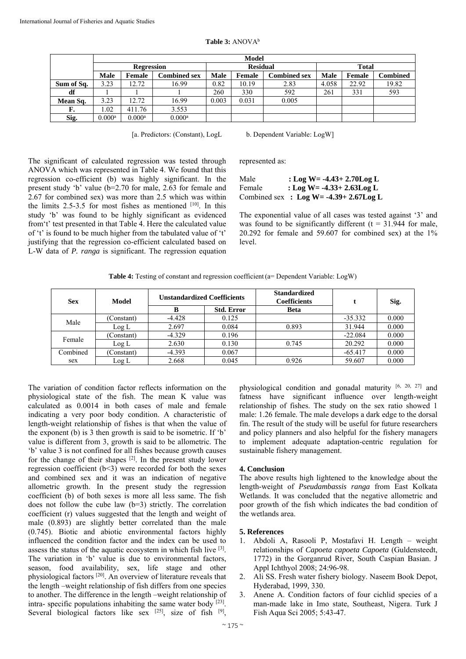|            | Model             |                      |                      |             |        |                     |       |        |                 |
|------------|-------------------|----------------------|----------------------|-------------|--------|---------------------|-------|--------|-----------------|
|            | <b>Regression</b> |                      | <b>Residual</b>      |             |        | <b>Total</b>        |       |        |                 |
|            | <b>Male</b>       | Female               | C <b>ombined sex</b> | <b>Male</b> | Female | <b>Combined sex</b> | Male  | Female | <b>Combined</b> |
| Sum of Sq. | 3.23              | 12.72                | 16.99                | 0.82        | 10.19  | 2.83                | 4.058 | 22.92  | 19.82           |
| df         |                   |                      |                      | 260         | 330    | 592                 | 261   | 331    | 593             |
| Mean Sq.   | 3.23              | 12.72                | 16.99                | 0.003       | 0.031  | 0.005               |       |        |                 |
| F.         | .02               | 411.76               | 3.553                |             |        |                     |       |        |                 |
| Sig.       | $0.000^{\rm a}$   | $0.000$ <sup>a</sup> | $0.000$ <sup>a</sup> |             |        |                     |       |        |                 |

**Table 3:** ANOVAb

[a. Predictors: (Constant), LogL b. Dependent Variable: LogW]

The significant of calculated regression was tested through ANOVA which was represented in Table 4. We found that this regression co-efficient (b) was highly significant. In the present study 'b' value (b=2.70 for male, 2.63 for female and 2.67 for combined sex) was more than 2.5 which was within the limits  $2.5-3.5$  for most fishes as mentioned  $[10]$ . In this study 'b' was found to be highly significant as evidenced from't' test presented in that Table 4. Here the calculated value of 't' is found to be much higher from the tabulated value of 't' justifying that the regression co-efficient calculated based on L-W data of *P. ranga* is significant. The regression equation

represented as:

| Male   | : Log W = $-4.43 + 2.70$ Log L          |
|--------|-----------------------------------------|
| Female | : Log W = $-4.33 + 2.63$ Log L          |
|        | Combined sex : Log W = -4.39+ 2.67Log L |

The exponential value of all cases was tested against '3' and was found to be significantly different  $(t = 31.944$  for male, 20.292 for female and 59.607 for combined sex) at the 1% level.

**Table 4:** Testing of constant and regression coefficient (a= Dependent Variable: LogW)

| <b>Sex</b> | Model      | <b>Unstandardized Coefficients</b> |                   | <b>Standardized</b><br><b>Coefficients</b> |           | Sig.  |
|------------|------------|------------------------------------|-------------------|--------------------------------------------|-----------|-------|
|            |            |                                    | <b>Std. Error</b> | <b>Beta</b>                                |           |       |
| Male       | (Constant) | $-4.428$                           | 0.125             |                                            | $-35.332$ | 0.000 |
|            | Log L      | 2.697                              | 0.084             | 0.893                                      | 31.944    | 0.000 |
| Female     | (Constant) | $-4.329$                           | 0.196             |                                            | $-22.084$ | 0.000 |
|            | Log L      | 2.630                              | 0.130             | 0.745                                      | 20.292    | 0.000 |
| Combined   | (Constant) | $-4.393$                           | 0.067             |                                            | $-65.417$ | 0.000 |
| sex        | Log L      | 2.668                              | 0.045             | 0.926                                      | 59.607    | 0.000 |

The variation of condition factor reflects information on the physiological state of the fish. The mean K value was calculated as 0.0014 in both cases of male and female indicating a very poor body condition. A characteristic of length-weight relationship of fishes is that when the value of the exponent (b) is 3 then growth is said to be isometric. If 'b' value is different from 3, growth is said to be allometric. The 'b' value 3 is not confined for all fishes because growth causes for the change of their shapes [2]. In the present study lower regression coefficient  $(b < 3)$  were recorded for both the sexes and combined sex and it was an indication of negative allometric growth. In the present study the regression coefficient (b) of both sexes is more all less same. The fish does not follow the cube law (b=3) strictly. The correlation coefficient (r) values suggested that the length and weight of male (0.893) are slightly better correlated than the male (0.745). Biotic and abiotic environmental factors highly influenced the condition factor and the index can be used to assess the status of the aquatic ecosystem in which fish live [3]. The variation in 'b' value is due to environmental factors, season, food availability, sex, life stage and other physiological factors [20]. An overview of literature reveals that the length –weight relationship of fish differs from one species to another. The difference in the length –weight relationship of intra- specific populations inhabiting the same water body  $[23]$ . Several biological factors like sex [25], size of fish [9],

physiological condition and gonadal maturity [6, 20, 27] and fatness have significant influence over length-weight relationship of fishes. The study on the sex ratio showed 1 male: 1.26 female. The male develops a dark edge to the dorsal fin. The result of the study will be useful for future researchers and policy planners and also helpful for the fishery managers to implement adequate adaptation-centric regulation for sustainable fishery management.

# **4. Conclusion**

The above results high lightened to the knowledge about the length-weight of *Pseudambassis ranga* from East Kolkata Wetlands. It was concluded that the negative allometric and poor growth of the fish which indicates the bad condition of the wetlands area.

## **5. References**

- 1. Abdoli A, Rasooli P, Mostafavi H. Length weight relationships of *Capoeta capoeta Capoeta* (Guldensteedt, 1772) in the Gorganrud River, South Caspian Basian. J Appl Ichthyol 2008; 24:96-98.
- 2. Ali SS. Fresh water fishery biology. Naseem Book Depot, Hyderabad, 1999, 330.
- 3. Anene A. Condition factors of four cichlid species of a man-made lake in Imo state, Southeast, Nigera. Turk J Fish Aqua Sci 2005; 5:43-47.